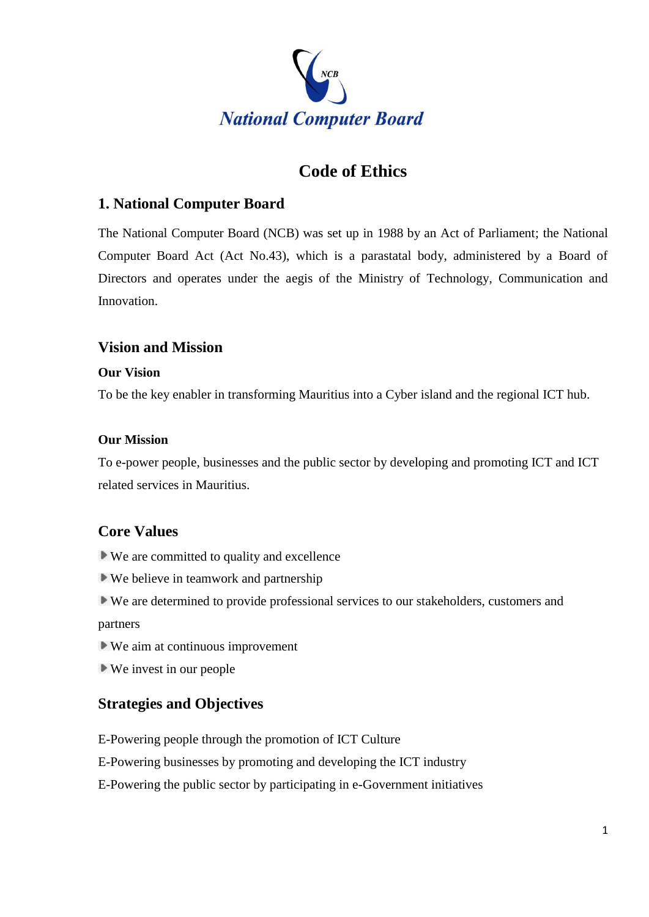

# **Code of Ethics**

# **1. National Computer Board**

The National Computer Board (NCB) was set up in 1988 by an Act of Parliament; the National Computer Board Act (Act No.43), which is a parastatal body, administered by a Board of Directors and operates under the aegis of the Ministry of Technology, Communication and Innovation.

### **Vision and Mission**

#### **Our Vision**

To be the key enabler in transforming Mauritius into a Cyber island and the regional ICT hub.

#### **Our Mission**

To e-power people, businesses and the public sector by developing and promoting ICT and ICT related services in Mauritius.

# **Core Values**

We are committed to quality and excellence

We believe in teamwork and partnership

We are determined to provide professional services to our stakeholders, customers and partners

We aim at continuous improvement

We invest in our people

# **Strategies and Objectives**

E-Powering people through the promotion of ICT Culture

E-Powering businesses by promoting and developing the ICT industry

E-Powering the public sector by participating in e-Government initiatives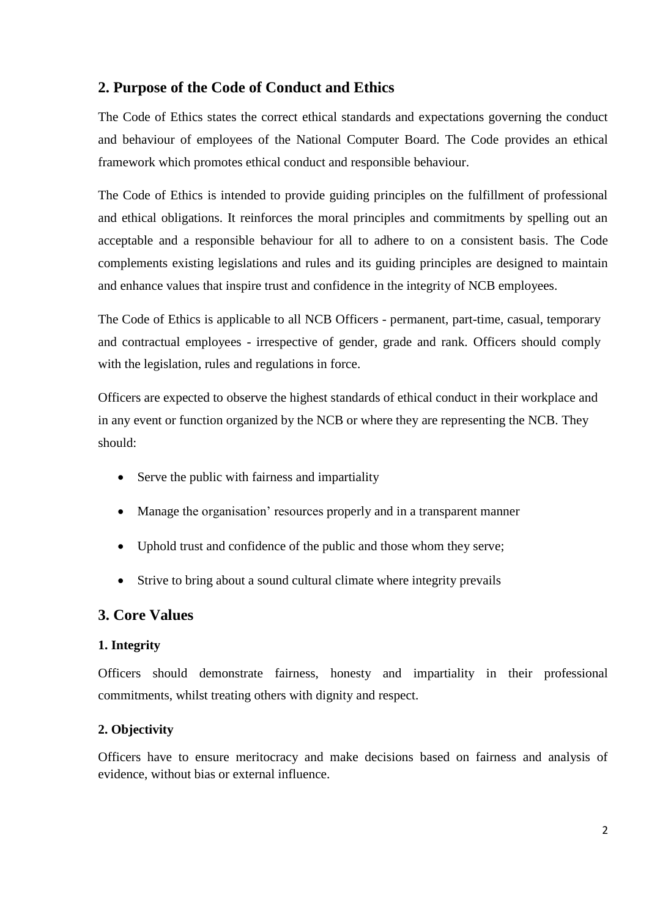# **2. Purpose of the Code of Conduct and Ethics**

The Code of Ethics states the correct ethical standards and expectations governing the conduct and behaviour of employees of the National Computer Board. The Code provides an ethical framework which promotes ethical conduct and responsible behaviour.

The Code of Ethics is intended to provide guiding principles on the fulfillment of professional and ethical obligations. It reinforces the moral principles and commitments by spelling out an acceptable and a responsible behaviour for all to adhere to on a consistent basis. The Code complements existing legislations and rules and its guiding principles are designed to maintain and enhance values that inspire trust and confidence in the integrity of NCB employees.

The Code of Ethics is applicable to all NCB Officers - permanent, part-time, casual, temporary and contractual employees - irrespective of gender, grade and rank. Officers should comply with the legislation, rules and regulations in force.

Officers are expected to observe the highest standards of ethical conduct in their workplace and in any event or function organized by the NCB or where they are representing the NCB. They should:

- Serve the public with fairness and impartiality
- Manage the organisation' resources properly and in a transparent manner
- Uphold trust and confidence of the public and those whom they serve;
- Strive to bring about a sound cultural climate where integrity prevails

#### **3. Core Values**

#### **1. Integrity**

Officers should demonstrate fairness, honesty and impartiality in their professional commitments, whilst treating others with dignity and respect.

#### **2. Objectivity**

Officers have to ensure meritocracy and make decisions based on fairness and analysis of evidence, without bias or external influence.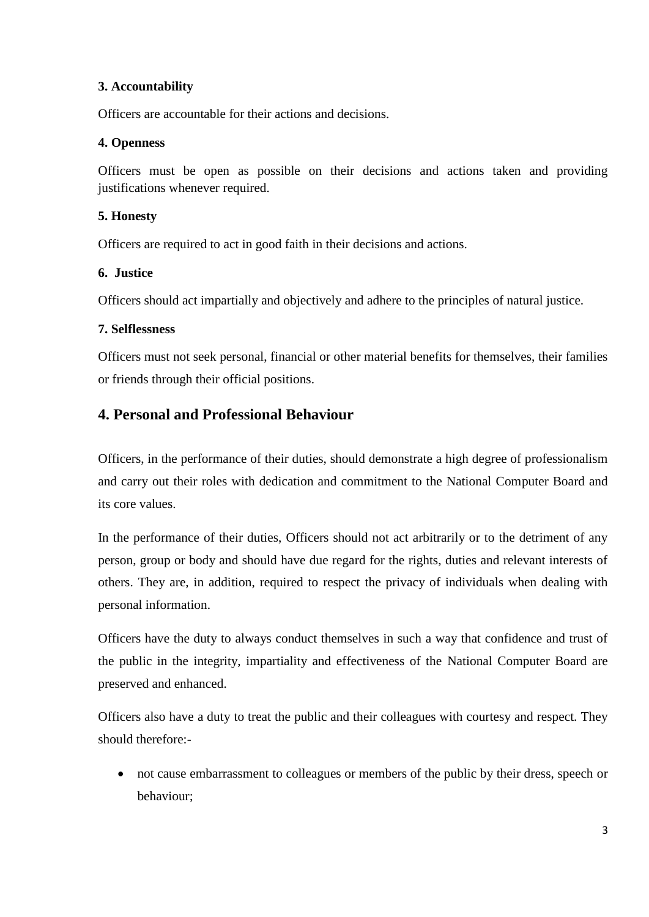#### **3. Accountability**

Officers are accountable for their actions and decisions.

#### **4. Openness**

Officers must be open as possible on their decisions and actions taken and providing justifications whenever required.

### **5. Honesty**

Officers are required to act in good faith in their decisions and actions.

### **6. Justice**

Officers should act impartially and objectively and adhere to the principles of natural justice.

#### **7. Selflessness**

Officers must not seek personal, financial or other material benefits for themselves, their families or friends through their official positions.

# **4. Personal and Professional Behaviour**

Officers, in the performance of their duties, should demonstrate a high degree of professionalism and carry out their roles with dedication and commitment to the National Computer Board and its core values.

In the performance of their duties, Officers should not act arbitrarily or to the detriment of any person, group or body and should have due regard for the rights, duties and relevant interests of others. They are, in addition, required to respect the privacy of individuals when dealing with personal information.

Officers have the duty to always conduct themselves in such a way that confidence and trust of the public in the integrity, impartiality and effectiveness of the National Computer Board are preserved and enhanced.

Officers also have a duty to treat the public and their colleagues with courtesy and respect. They should therefore:-

 not cause embarrassment to colleagues or members of the public by their dress, speech or behaviour;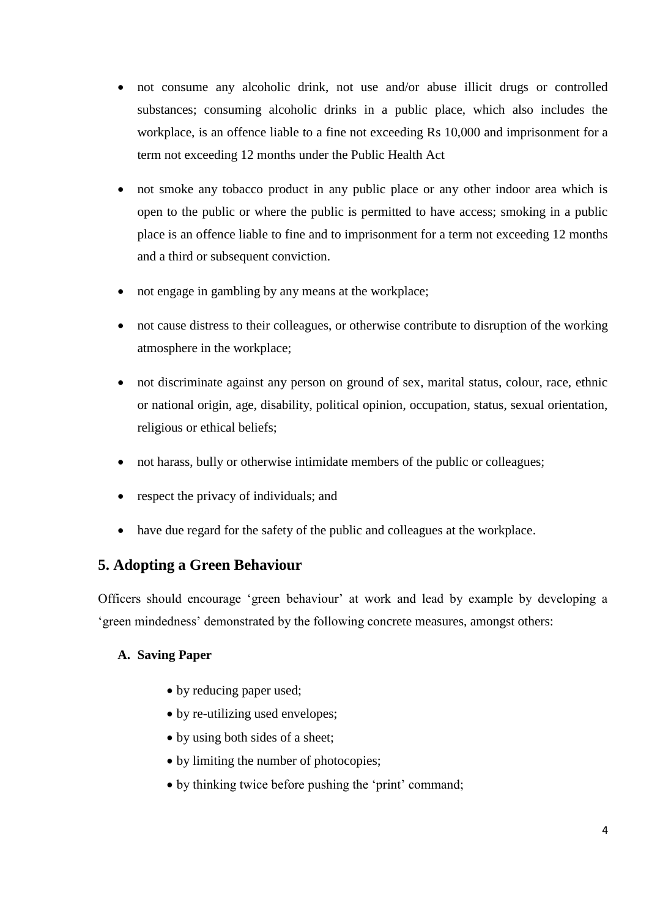- not consume any alcoholic drink, not use and/or abuse illicit drugs or controlled substances; consuming alcoholic drinks in a public place, which also includes the workplace, is an offence liable to a fine not exceeding Rs 10,000 and imprisonment for a term not exceeding 12 months under the Public Health Act
- not smoke any tobacco product in any public place or any other indoor area which is open to the public or where the public is permitted to have access; smoking in a public place is an offence liable to fine and to imprisonment for a term not exceeding 12 months and a third or subsequent conviction.
- not engage in gambling by any means at the workplace;
- not cause distress to their colleagues, or otherwise contribute to disruption of the working atmosphere in the workplace;
- not discriminate against any person on ground of sex, marital status, colour, race, ethnic or national origin, age, disability, political opinion, occupation, status, sexual orientation, religious or ethical beliefs;
- not harass, bully or otherwise intimidate members of the public or colleagues;
- respect the privacy of individuals; and
- have due regard for the safety of the public and colleagues at the workplace.

### **5. Adopting a Green Behaviour**

Officers should encourage 'green behaviour' at work and lead by example by developing a 'green mindedness' demonstrated by the following concrete measures, amongst others:

#### **A. Saving Paper**

- by reducing paper used;
- by re-utilizing used envelopes;
- by using both sides of a sheet;
- by limiting the number of photocopies;
- by thinking twice before pushing the 'print' command;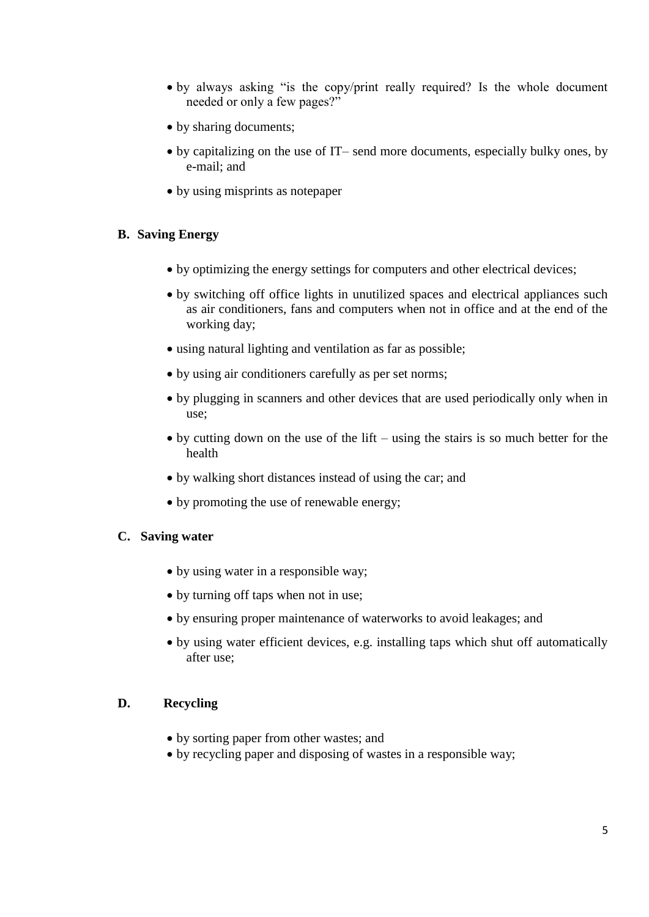- by always asking "is the copy/print really required? Is the whole document needed or only a few pages?"
- by sharing documents;
- by capitalizing on the use of IT– send more documents, especially bulky ones, by e-mail; and
- by using misprints as notepaper

#### **B. Saving Energy**

- by optimizing the energy settings for computers and other electrical devices;
- by switching off office lights in unutilized spaces and electrical appliances such as air conditioners, fans and computers when not in office and at the end of the working day;
- using natural lighting and ventilation as far as possible;
- by using air conditioners carefully as per set norms;
- by plugging in scanners and other devices that are used periodically only when in use;
- $\bullet$  by cutting down on the use of the lift using the stairs is so much better for the health
- by walking short distances instead of using the car; and
- by promoting the use of renewable energy;

#### **C. Saving water**

- by using water in a responsible way;
- by turning off taps when not in use;
- by ensuring proper maintenance of waterworks to avoid leakages; and
- by using water efficient devices, e.g. installing taps which shut off automatically after use;

#### **D. Recycling**

- by sorting paper from other wastes; and
- by recycling paper and disposing of wastes in a responsible way;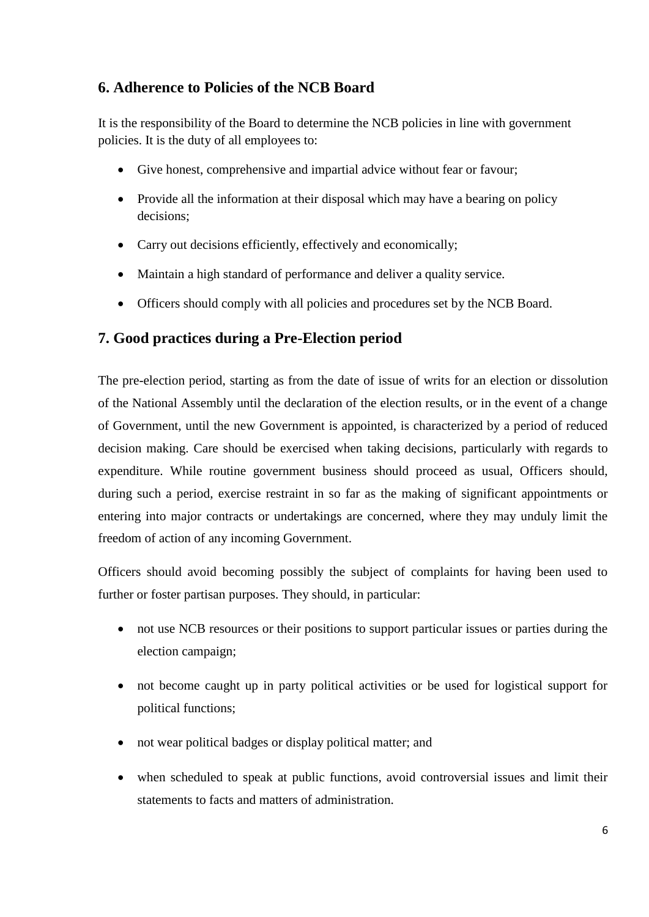# **6. Adherence to Policies of the NCB Board**

It is the responsibility of the Board to determine the NCB policies in line with government policies. It is the duty of all employees to:

- Give honest, comprehensive and impartial advice without fear or favour;
- Provide all the information at their disposal which may have a bearing on policy decisions;
- Carry out decisions efficiently, effectively and economically;
- Maintain a high standard of performance and deliver a quality service.
- Officers should comply with all policies and procedures set by the NCB Board.

# **7. Good practices during a Pre-Election period**

The pre-election period, starting as from the date of issue of writs for an election or dissolution of the National Assembly until the declaration of the election results, or in the event of a change of Government, until the new Government is appointed, is characterized by a period of reduced decision making. Care should be exercised when taking decisions, particularly with regards to expenditure. While routine government business should proceed as usual, Officers should, during such a period, exercise restraint in so far as the making of significant appointments or entering into major contracts or undertakings are concerned, where they may unduly limit the freedom of action of any incoming Government.

Officers should avoid becoming possibly the subject of complaints for having been used to further or foster partisan purposes. They should, in particular:

- not use NCB resources or their positions to support particular issues or parties during the election campaign;
- not become caught up in party political activities or be used for logistical support for political functions;
- not wear political badges or display political matter; and
- when scheduled to speak at public functions, avoid controversial issues and limit their statements to facts and matters of administration.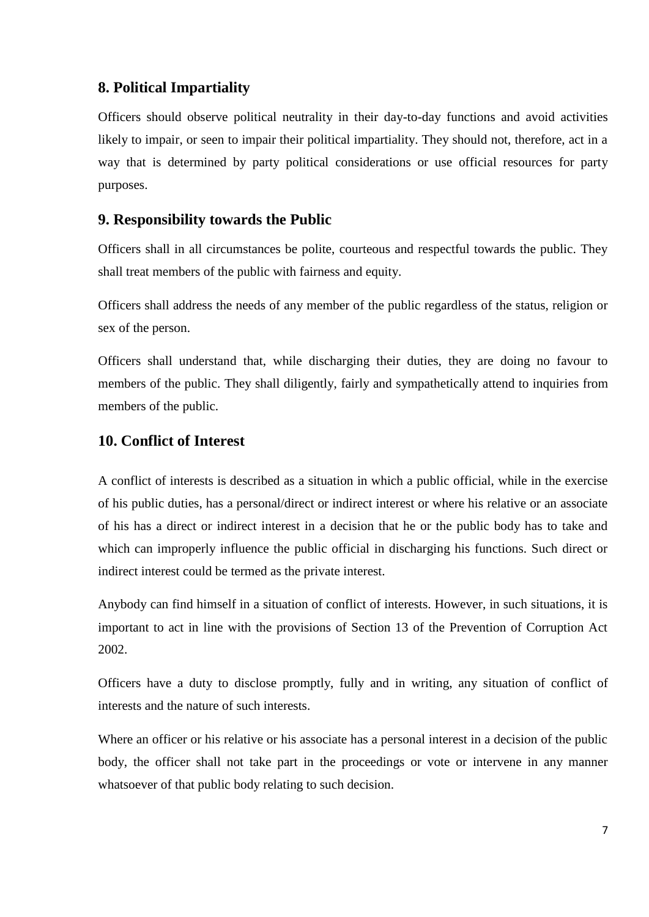### **8. Political Impartiality**

Officers should observe political neutrality in their day-to-day functions and avoid activities likely to impair, or seen to impair their political impartiality. They should not, therefore, act in a way that is determined by party political considerations or use official resources for party purposes.

### **9. Responsibility towards the Public**

Officers shall in all circumstances be polite, courteous and respectful towards the public. They shall treat members of the public with fairness and equity.

Officers shall address the needs of any member of the public regardless of the status, religion or sex of the person.

Officers shall understand that, while discharging their duties, they are doing no favour to members of the public. They shall diligently, fairly and sympathetically attend to inquiries from members of the public.

### **10. Conflict of Interest**

A conflict of interests is described as a situation in which a public official, while in the exercise of his public duties, has a personal/direct or indirect interest or where his relative or an associate of his has a direct or indirect interest in a decision that he or the public body has to take and which can improperly influence the public official in discharging his functions. Such direct or indirect interest could be termed as the private interest.

Anybody can find himself in a situation of conflict of interests. However, in such situations, it is important to act in line with the provisions of Section 13 of the Prevention of Corruption Act 2002.

Officers have a duty to disclose promptly, fully and in writing, any situation of conflict of interests and the nature of such interests.

Where an officer or his relative or his associate has a personal interest in a decision of the public body, the officer shall not take part in the proceedings or vote or intervene in any manner whatsoever of that public body relating to such decision.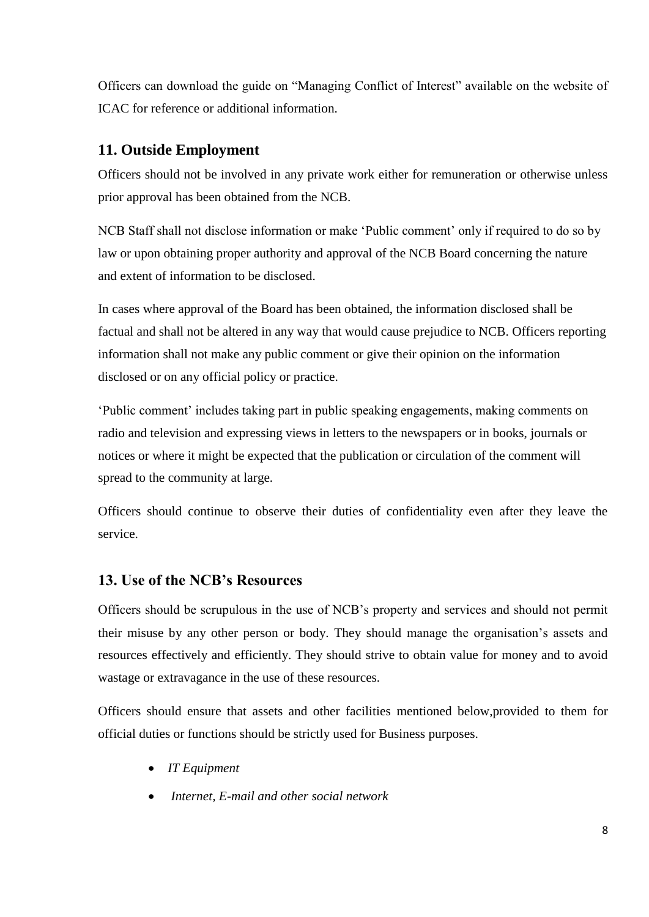Officers can download the guide on "Managing Conflict of Interest" available on the website of ICAC for reference or additional information.

# **11. Outside Employment**

Officers should not be involved in any private work either for remuneration or otherwise unless prior approval has been obtained from the NCB.

NCB Staff shall not disclose information or make 'Public comment' only if required to do so by law or upon obtaining proper authority and approval of the NCB Board concerning the nature and extent of information to be disclosed.

In cases where approval of the Board has been obtained, the information disclosed shall be factual and shall not be altered in any way that would cause prejudice to NCB. Officers reporting information shall not make any public comment or give their opinion on the information disclosed or on any official policy or practice.

'Public comment' includes taking part in public speaking engagements, making comments on radio and television and expressing views in letters to the newspapers or in books, journals or notices or where it might be expected that the publication or circulation of the comment will spread to the community at large.

Officers should continue to observe their duties of confidentiality even after they leave the service.

# **13. Use of the NCB's Resources**

Officers should be scrupulous in the use of NCB's property and services and should not permit their misuse by any other person or body. They should manage the organisation's assets and resources effectively and efficiently. They should strive to obtain value for money and to avoid wastage or extravagance in the use of these resources.

Officers should ensure that assets and other facilities mentioned below,provided to them for official duties or functions should be strictly used for Business purposes.

- *IT Equipment*
- *Internet, E-mail and other social network*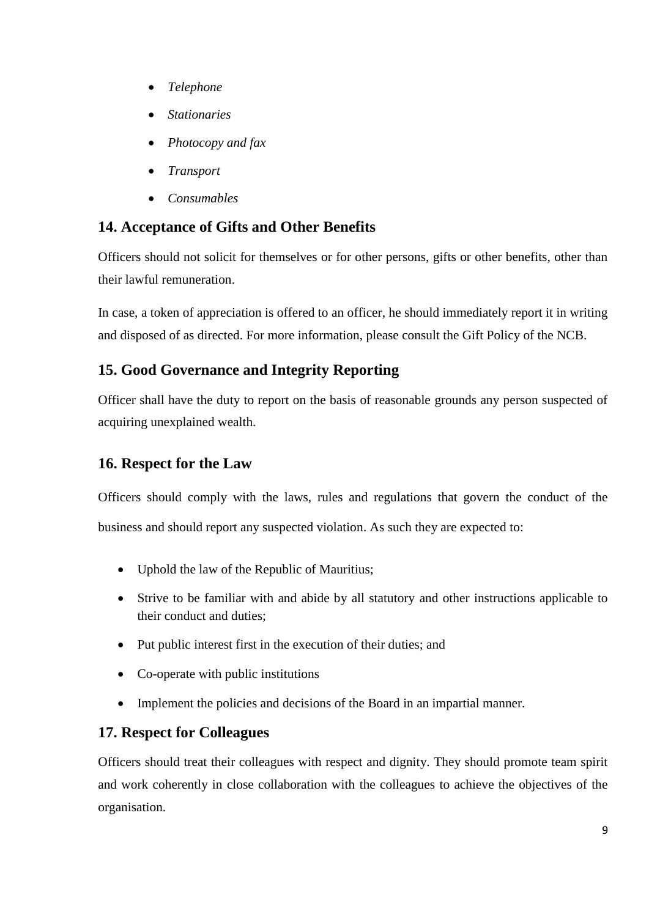- *Telephone*
- *Stationaries*
- *Photocopy and fax*
- *Transport*
- *Consumables*

# **14. Acceptance of Gifts and Other Benefits**

Officers should not solicit for themselves or for other persons, gifts or other benefits, other than their lawful remuneration.

In case, a token of appreciation is offered to an officer, he should immediately report it in writing and disposed of as directed. For more information, please consult the Gift Policy of the NCB.

# **15. Good Governance and Integrity Reporting**

Officer shall have the duty to report on the basis of reasonable grounds any person suspected of acquiring unexplained wealth.

# **16. Respect for the Law**

Officers should comply with the laws, rules and regulations that govern the conduct of the business and should report any suspected violation. As such they are expected to:

- Uphold the law of the Republic of Mauritius;
- Strive to be familiar with and abide by all statutory and other instructions applicable to their conduct and duties;
- Put public interest first in the execution of their duties; and
- Co-operate with public institutions
- Implement the policies and decisions of the Board in an impartial manner.

# **17. Respect for Colleagues**

Officers should treat their colleagues with respect and dignity. They should promote team spirit and work coherently in close collaboration with the colleagues to achieve the objectives of the organisation.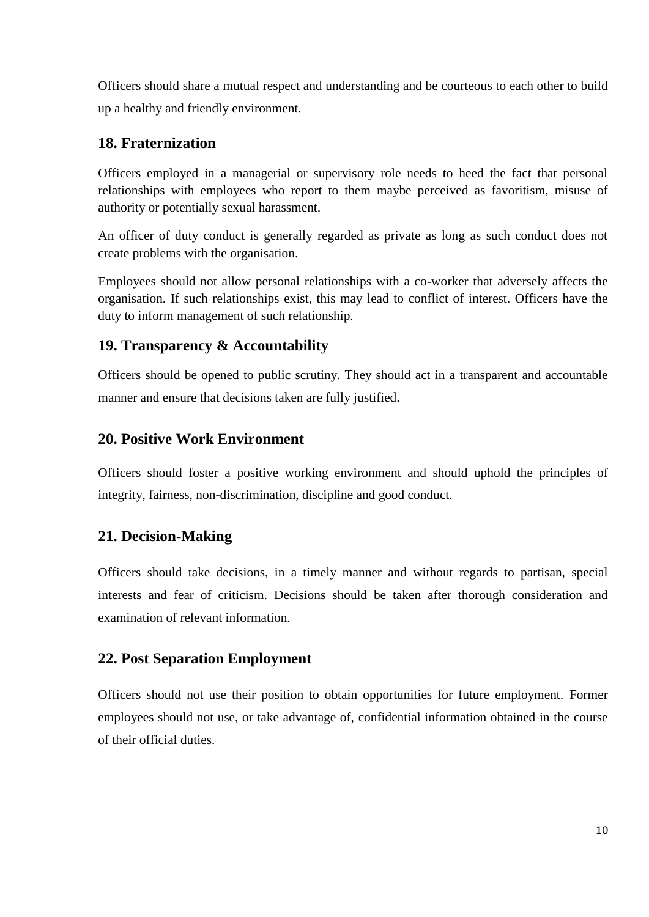Officers should share a mutual respect and understanding and be courteous to each other to build up a healthy and friendly environment.

### **18. Fraternization**

Officers employed in a managerial or supervisory role needs to heed the fact that personal relationships with employees who report to them maybe perceived as favoritism, misuse of authority or potentially sexual harassment.

An officer of duty conduct is generally regarded as private as long as such conduct does not create problems with the organisation.

Employees should not allow personal relationships with a co-worker that adversely affects the organisation. If such relationships exist, this may lead to conflict of interest. Officers have the duty to inform management of such relationship.

### **19. Transparency & Accountability**

Officers should be opened to public scrutiny. They should act in a transparent and accountable manner and ensure that decisions taken are fully justified.

### **20. Positive Work Environment**

Officers should foster a positive working environment and should uphold the principles of integrity, fairness, non-discrimination, discipline and good conduct.

# **21. Decision-Making**

Officers should take decisions, in a timely manner and without regards to partisan, special interests and fear of criticism. Decisions should be taken after thorough consideration and examination of relevant information.

### **22. Post Separation Employment**

Officers should not use their position to obtain opportunities for future employment. Former employees should not use, or take advantage of, confidential information obtained in the course of their official duties.